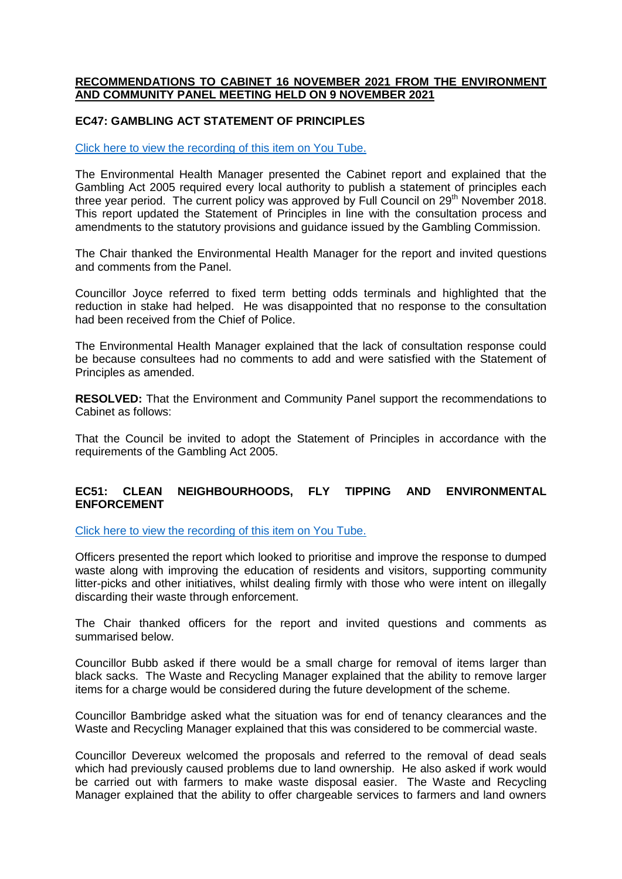## **RECOMMENDATIONS TO CABINET 16 NOVEMBER 2021 FROM THE ENVIRONMENT AND COMMUNITY PANEL MEETING HELD ON 9 NOVEMBER 2021**

## **EC47: GAMBLING ACT STATEMENT OF PRINCIPLES**

## [Click here to view the recording of this item on You Tube.](https://youtu.be/0C2Rb3VgbeU?t=304)

The Environmental Health Manager presented the Cabinet report and explained that the Gambling Act 2005 required every local authority to publish a statement of principles each three year period. The current policy was approved by Full Council on 29<sup>th</sup> November 2018. This report updated the Statement of Principles in line with the consultation process and amendments to the statutory provisions and guidance issued by the Gambling Commission.

The Chair thanked the Environmental Health Manager for the report and invited questions and comments from the Panel.

Councillor Joyce referred to fixed term betting odds terminals and highlighted that the reduction in stake had helped. He was disappointed that no response to the consultation had been received from the Chief of Police.

The Environmental Health Manager explained that the lack of consultation response could be because consultees had no comments to add and were satisfied with the Statement of Principles as amended.

**RESOLVED:** That the Environment and Community Panel support the recommendations to Cabinet as follows:

That the Council be invited to adopt the Statement of Principles in accordance with the requirements of the Gambling Act 2005.

## **EC51: CLEAN NEIGHBOURHOODS, FLY TIPPING AND ENVIRONMENTAL ENFORCEMENT**

[Click here to view the recording of this item on You Tube.](https://youtu.be/0C2Rb3VgbeU?t=5884)

Officers presented the report which looked to prioritise and improve the response to dumped waste along with improving the education of residents and visitors, supporting community litter-picks and other initiatives, whilst dealing firmly with those who were intent on illegally discarding their waste through enforcement.

The Chair thanked officers for the report and invited questions and comments as summarised below.

Councillor Bubb asked if there would be a small charge for removal of items larger than black sacks. The Waste and Recycling Manager explained that the ability to remove larger items for a charge would be considered during the future development of the scheme.

Councillor Bambridge asked what the situation was for end of tenancy clearances and the Waste and Recycling Manager explained that this was considered to be commercial waste.

Councillor Devereux welcomed the proposals and referred to the removal of dead seals which had previously caused problems due to land ownership. He also asked if work would be carried out with farmers to make waste disposal easier. The Waste and Recycling Manager explained that the ability to offer chargeable services to farmers and land owners